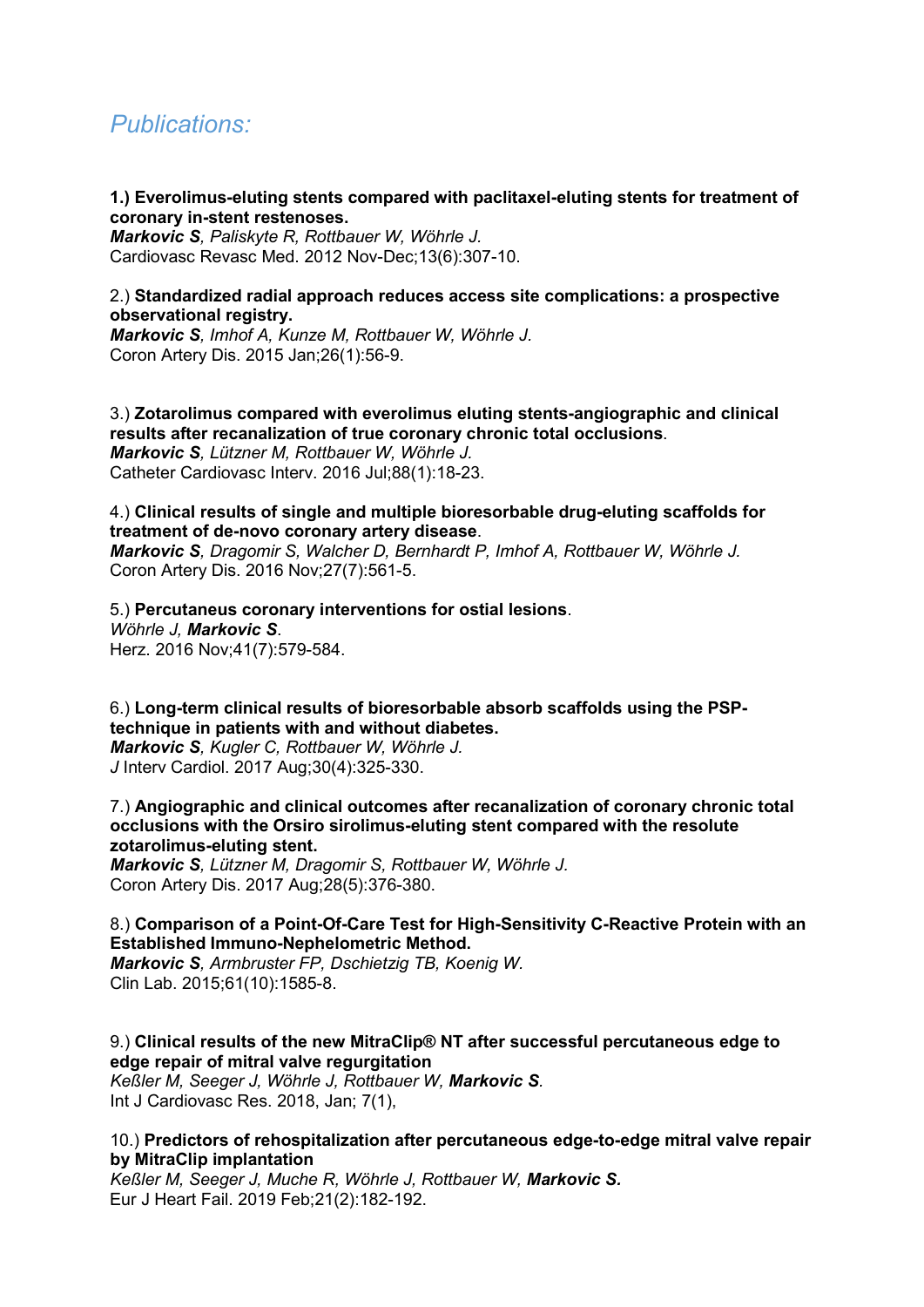# *Publications:*

## **1.) Everolimus-eluting stents compared with paclitaxel-eluting stents for treatment of coronary in-stent restenoses.**

*Markovic S, Paliskyte R, Rottbauer W, Wöhrle J.* Cardiovasc Revasc Med. 2012 Nov-Dec;13(6):307-10.

# 2.) **Standardized radial approach reduces access site complications: a prospective observational registry.**

*Markovic S, Imhof A, Kunze M, Rottbauer W, Wöhrle J.*  Coron Artery Dis. 2015 Jan;26(1):56-9.

3.) **Zotarolimus compared with everolimus eluting stents-angiographic and clinical results after recanalization of true coronary chronic total occlusions**. *Markovic S, Lützner M, Rottbauer W, Wöhrle J.*  Catheter Cardiovasc Interv. 2016 Jul;88(1):18-23.

# 4.) **Clinical results of single and multiple bioresorbable drug-eluting scaffolds for treatment of de-novo coronary artery disease**.

*Markovic S, Dragomir S, Walcher D, Bernhardt P, Imhof A, Rottbauer W, Wöhrle J.* Coron Artery Dis. 2016 Nov;27(7):561-5.

5.) **Percutaneus coronary interventions for ostial lesions**. *Wöhrle J, Markovic S*. Herz. 2016 Nov;41(7):579-584.

6.) **Long-term clinical results of bioresorbable absorb scaffolds using the PSPtechnique in patients with and without diabetes.**

*Markovic S, Kugler C, Rottbauer W, Wöhrle J. J* Interv Cardiol. 2017 Aug;30(4):325-330.

7.) **Angiographic and clinical outcomes after recanalization of coronary chronic total occlusions with the Orsiro sirolimus-eluting stent compared with the resolute zotarolimus-eluting stent.**

*Markovic S, Lützner M, Dragomir S, Rottbauer W, Wöhrle J.*  Coron Artery Dis. 2017 Aug;28(5):376-380.

# 8.) **Comparison of a Point-Of-Care Test for High-Sensitivity C-Reactive Protein with an Established Immuno-Nephelometric Method.**

*Markovic S, Armbruster FP, Dschietzig TB, Koenig W.*  Clin Lab. 2015;61(10):1585-8.

# 9.) **Clinical results of the new MitraClip® NT after successful percutaneous edge to edge repair of mitral valve regurgitation**

*Keßler M, Seeger J, Wöhrle J, Rottbauer W, Markovic S.*  Int J Cardiovasc Res. 2018, Jan; 7(1),

# 10.) **Predictors of rehospitalization after percutaneous edge-to-edge mitral valve repair by MitraClip implantation**

*Keßler M, Seeger J, Muche R, Wöhrle J, Rottbauer W, Markovic S.* Eur J Heart Fail. 2019 Feb;21(2):182-192.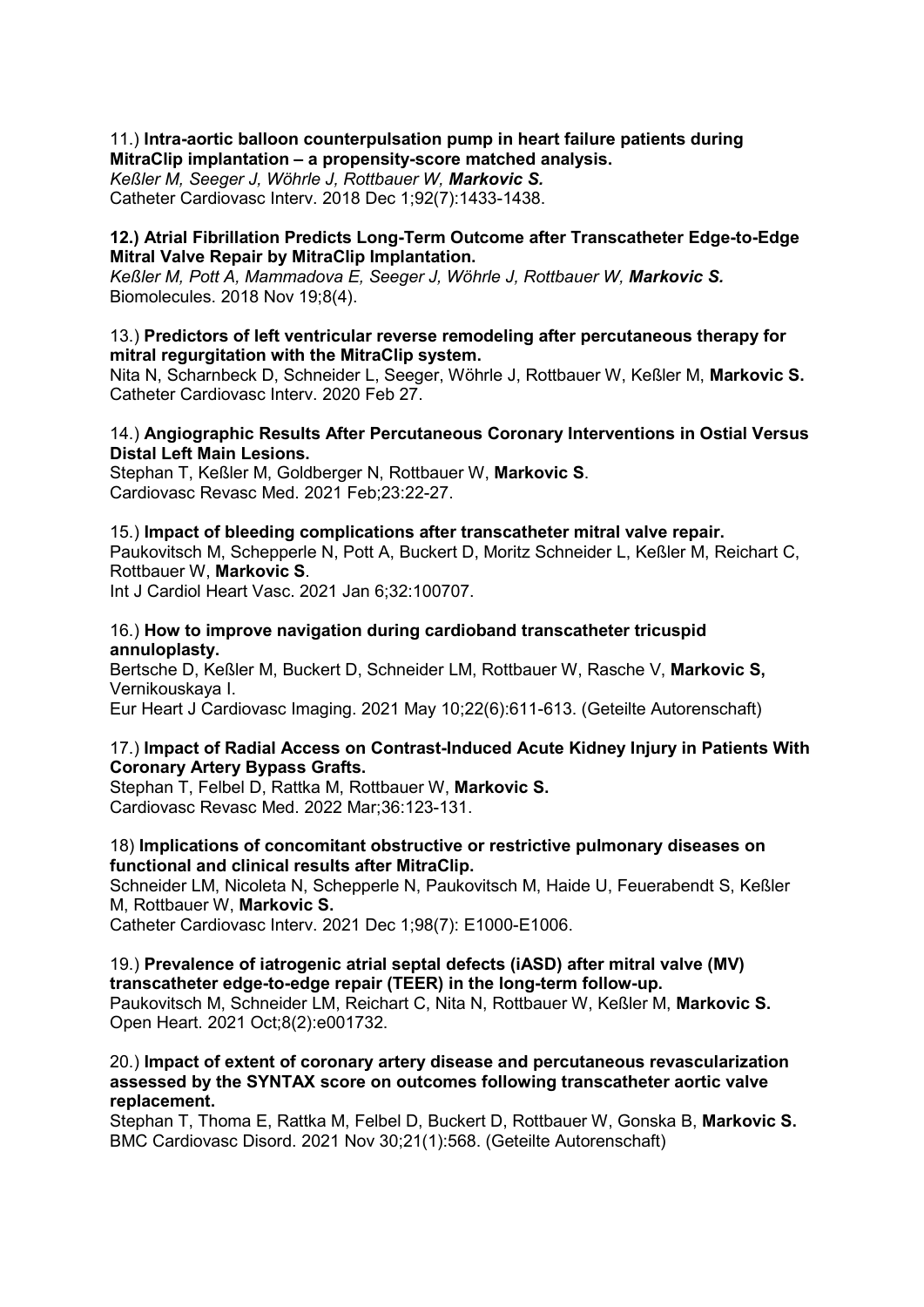# 11.) **Intra-aortic balloon counterpulsation pump in heart failure patients during MitraClip implantation – a propensity-score matched analysis.**

*Keßler M, Seeger J, Wöhrle J, Rottbauer W, Markovic S.* 

Catheter Cardiovasc Interv. 2018 Dec 1;92(7):1433-1438.

# **12.) Atrial Fibrillation Predicts Long-Term Outcome after Transcatheter Edge-to-Edge Mitral Valve Repair by MitraClip Implantation.**

*Keßler M, Pott A, Mammadova E, Seeger J, Wöhrle J, Rottbauer W, Markovic S.* Biomolecules. 2018 Nov 19;8(4).

# 13.) **Predictors of left ventricular reverse remodeling after percutaneous therapy for mitral regurgitation with the MitraClip system.**

Nita N, Scharnbeck D, Schneider L, Seeger, Wöhrle J, Rottbauer W, Keßler M, **Markovic S.** Catheter Cardiovasc Interv. 2020 Feb 27.

# 14.) **Angiographic Results After Percutaneous Coronary Interventions in Ostial Versus Distal Left Main Lesions.**

Stephan T, Keßler M, Goldberger N, Rottbauer W, **Markovic S**. Cardiovasc Revasc Med. 2021 Feb;23:22-27.

# 15.) **Impact of bleeding complications after transcatheter mitral valve repair.**

Paukovitsch M, Schepperle N, Pott A, Buckert D, Moritz Schneider L, Keßler M, Reichart C, Rottbauer W, **Markovic S**.

Int J Cardiol Heart Vasc. 2021 Jan 6;32:100707.

## 16.) **How to improve navigation during cardioband transcatheter tricuspid annuloplasty.**

Bertsche D, Keßler M, Buckert D, Schneider LM, Rottbauer W, Rasche V, **Markovic S,** Vernikouskaya I.

Eur Heart J Cardiovasc Imaging. 2021 May 10;22(6):611-613. (Geteilte Autorenschaft)

# 17.) **Impact of Radial Access on Contrast-Induced Acute Kidney Injury in Patients With Coronary Artery Bypass Grafts.**

Stephan T, Felbel D, Rattka M, Rottbauer W, **Markovic S.** Cardiovasc Revasc Med. 2022 Mar;36:123-131.

# 18) **Implications of concomitant obstructive or restrictive pulmonary diseases on functional and clinical results after MitraClip.**

Schneider LM, Nicoleta N, Schepperle N, Paukovitsch M, Haide U, Feuerabendt S, Keßler M, Rottbauer W, **Markovic S.** 

Catheter Cardiovasc Interv. 2021 Dec 1;98(7): E1000-E1006.

# 19.) **Prevalence of iatrogenic atrial septal defects (iASD) after mitral valve (MV) transcatheter edge-to-edge repair (TEER) in the long-term follow-up.**

Paukovitsch M, Schneider LM, Reichart C, Nita N, Rottbauer W, Keßler M, **Markovic S.** Open Heart. 2021 Oct;8(2):e001732.

# 20.) **Impact of extent of coronary artery disease and percutaneous revascularization assessed by the SYNTAX score on outcomes following transcatheter aortic valve replacement.**

Stephan T, Thoma E, Rattka M, Felbel D, Buckert D, Rottbauer W, Gonska B, **Markovic S.** BMC Cardiovasc Disord. 2021 Nov 30;21(1):568. (Geteilte Autorenschaft)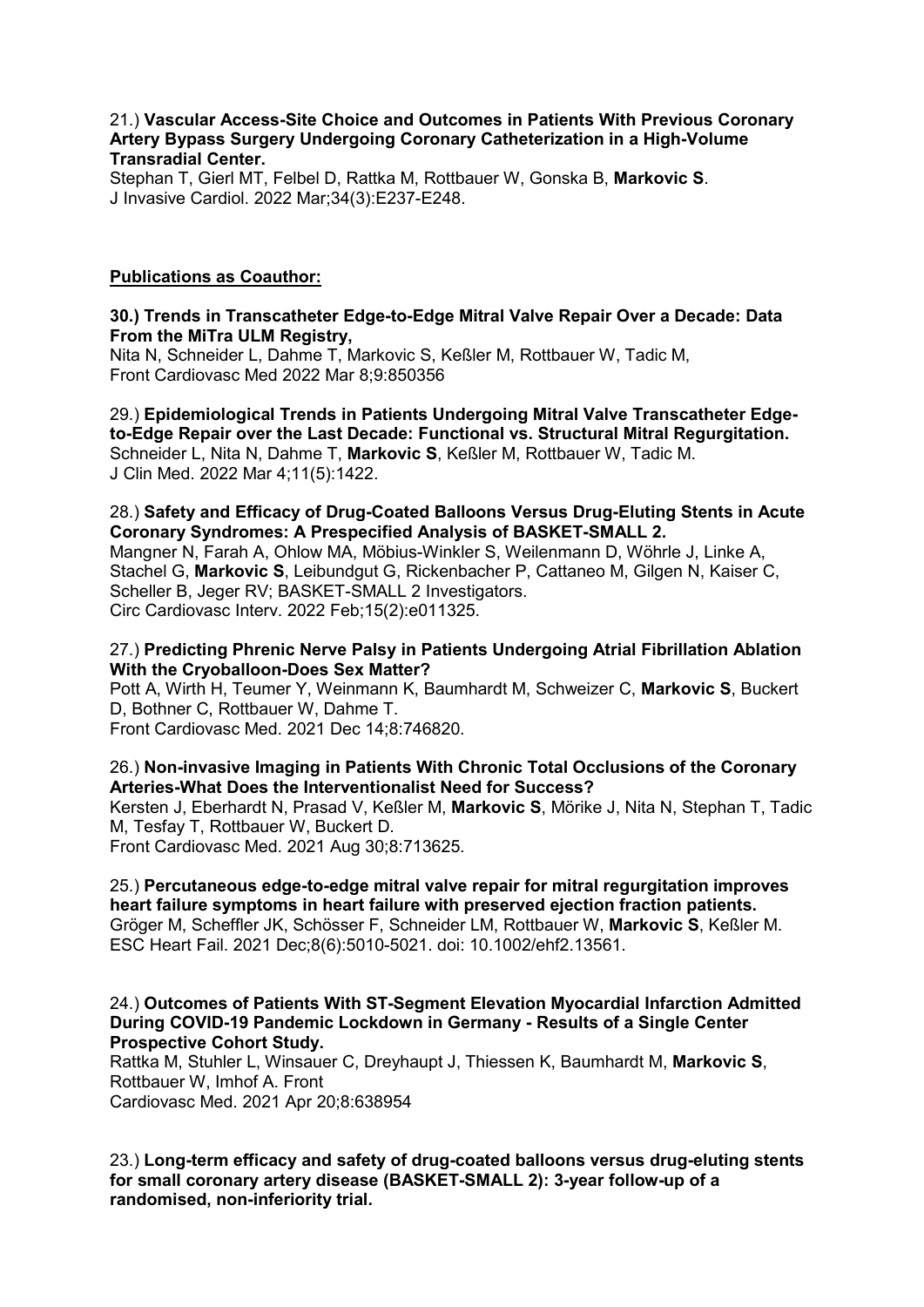# 21.) **Vascular Access-Site Choice and Outcomes in Patients With Previous Coronary Artery Bypass Surgery Undergoing Coronary Catheterization in a High-Volume Transradial Center.**

Stephan T, Gierl MT, Felbel D, Rattka M, Rottbauer W, Gonska B, **Markovic S**. J Invasive Cardiol. 2022 Mar;34(3):E237-E248.

# **Publications as Coauthor:**

# **30.) Trends in Transcatheter Edge-to-Edge Mitral Valve Repair Over a Decade: Data From the MiTra ULM Registry,**

Nita N, Schneider L, Dahme T, Markovic S, Keßler M, Rottbauer W, Tadic M, Front Cardiovasc Med 2022 Mar 8;9:850356

29.) **Epidemiological Trends in Patients Undergoing Mitral Valve Transcatheter Edgeto-Edge Repair over the Last Decade: Functional vs. Structural Mitral Regurgitation.** Schneider L, Nita N, Dahme T, **Markovic S**, Keßler M, Rottbauer W, Tadic M. J Clin Med. 2022 Mar 4;11(5):1422.

# 28.) **Safety and Efficacy of Drug-Coated Balloons Versus Drug-Eluting Stents in Acute Coronary Syndromes: A Prespecified Analysis of BASKET-SMALL 2.**

Mangner N, Farah A, Ohlow MA, Möbius-Winkler S, Weilenmann D, Wöhrle J, Linke A, Stachel G, **Markovic S**, Leibundgut G, Rickenbacher P, Cattaneo M, Gilgen N, Kaiser C, Scheller B, Jeger RV; BASKET-SMALL 2 Investigators. Circ Cardiovasc Interv. 2022 Feb;15(2):e011325.

# 27.) **Predicting Phrenic Nerve Palsy in Patients Undergoing Atrial Fibrillation Ablation With the Cryoballoon-Does Sex Matter?**

Pott A, Wirth H, Teumer Y, Weinmann K, Baumhardt M, Schweizer C, **Markovic S**, Buckert D, Bothner C, Rottbauer W, Dahme T.

Front Cardiovasc Med. 2021 Dec 14;8:746820.

# 26.) **Non-invasive Imaging in Patients With Chronic Total Occlusions of the Coronary Arteries-What Does the Interventionalist Need for Success?**

Kersten J, Eberhardt N, Prasad V, Keßler M, **Markovic S**, Mörike J, Nita N, Stephan T, Tadic M, Tesfay T, Rottbauer W, Buckert D.

Front Cardiovasc Med. 2021 Aug 30;8:713625.

#### 25.) **Percutaneous edge-to-edge mitral valve repair for mitral regurgitation improves heart failure symptoms in heart failure with preserved ejection fraction patients.** Gröger M, Scheffler JK, Schösser F, Schneider LM, Rottbauer W, **Markovic S**, Keßler M. ESC Heart Fail. 2021 Dec;8(6):5010-5021. doi: 10.1002/ehf2.13561.

# 24.) **Outcomes of Patients With ST-Segment Elevation Myocardial Infarction Admitted During COVID-19 Pandemic Lockdown in Germany - Results of a Single Center Prospective Cohort Study.**

Rattka M, Stuhler L, Winsauer C, Dreyhaupt J, Thiessen K, Baumhardt M, **Markovic S**, Rottbauer W, Imhof A. Front Cardiovasc Med. 2021 Apr 20;8:638954

23.) **Long-term efficacy and safety of drug-coated balloons versus drug-eluting stents for small coronary artery disease (BASKET-SMALL 2): 3-year follow-up of a randomised, non-inferiority trial.**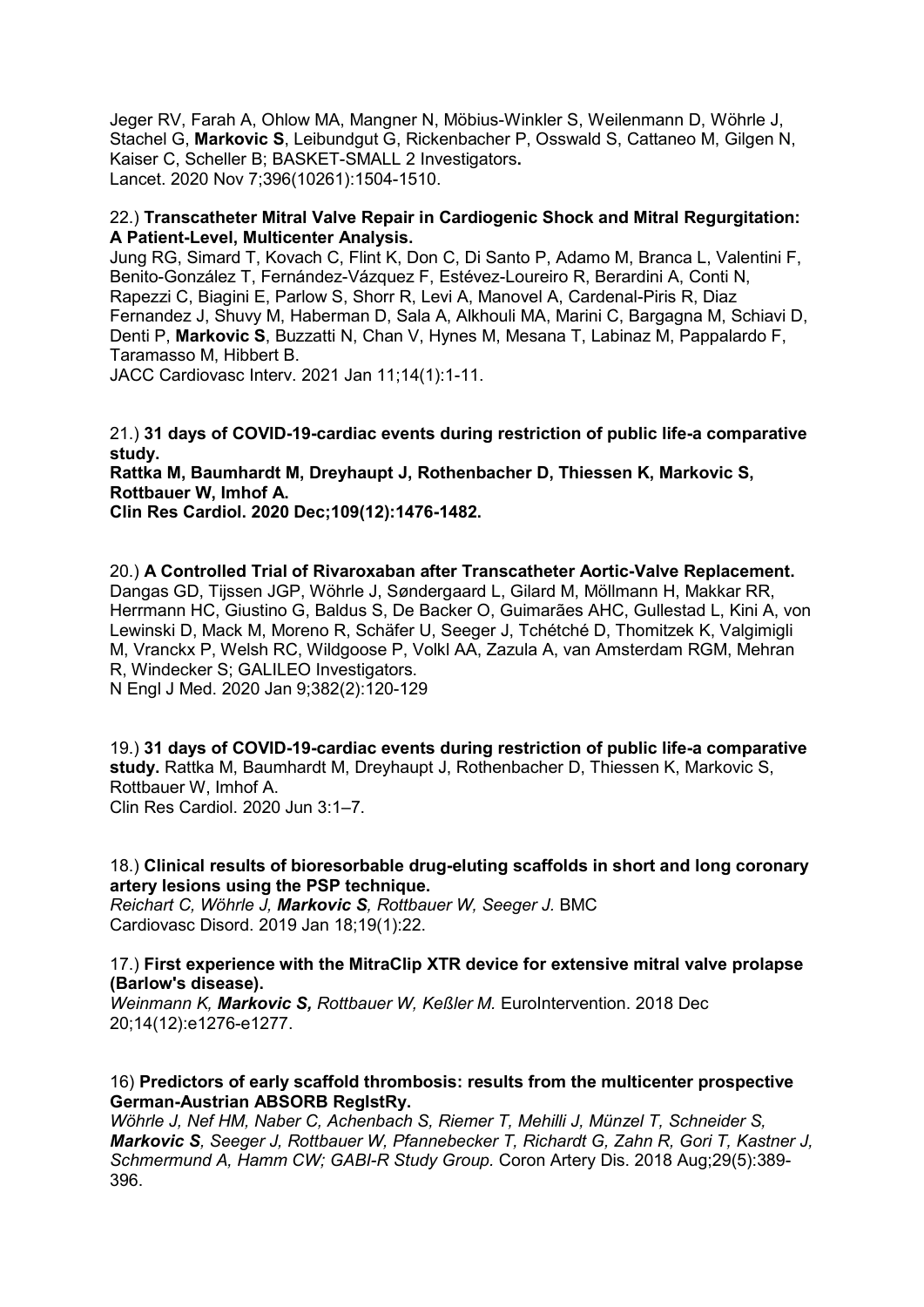Jeger RV, Farah A, Ohlow MA, Mangner N, Möbius-Winkler S, Weilenmann D, Wöhrle J, Stachel G, **Markovic S**, Leibundgut G, Rickenbacher P, Osswald S, Cattaneo M, Gilgen N, Kaiser C, Scheller B; BASKET-SMALL 2 Investigators**.**  Lancet. 2020 Nov 7;396(10261):1504-1510.

#### 22.) **Transcatheter Mitral Valve Repair in Cardiogenic Shock and Mitral Regurgitation: A Patient-Level, Multicenter Analysis.**

Jung RG, Simard T, Kovach C, Flint K, Don C, Di Santo P, Adamo M, Branca L, Valentini F, Benito-González T, Fernández-Vázquez F, Estévez-Loureiro R, Berardini A, Conti N, Rapezzi C, Biagini E, Parlow S, Shorr R, Levi A, Manovel A, Cardenal-Piris R, Diaz Fernandez J, Shuvy M, Haberman D, Sala A, Alkhouli MA, Marini C, Bargagna M, Schiavi D, Denti P, **Markovic S**, Buzzatti N, Chan V, Hynes M, Mesana T, Labinaz M, Pappalardo F, Taramasso M, Hibbert B.

JACC Cardiovasc Interv. 2021 Jan 11;14(1):1-11.

21.) **31 days of COVID-19-cardiac events during restriction of public life-a comparative study.**

**Rattka M, Baumhardt M, Dreyhaupt J, Rothenbacher D, Thiessen K, Markovic S, Rottbauer W, Imhof A.**

**Clin Res Cardiol. 2020 Dec;109(12):1476-1482.** 

20.) **A Controlled Trial of Rivaroxaban after Transcatheter Aortic-Valve Replacement.** Dangas GD, Tijssen JGP, Wöhrle J, Søndergaard L, Gilard M, Möllmann H, Makkar RR, Herrmann HC, Giustino G, Baldus S, De Backer O, Guimarães AHC, Gullestad L, Kini A, von Lewinski D, Mack M, Moreno R, Schäfer U, Seeger J, Tchétché D, Thomitzek K, Valgimigli M, Vranckx P, Welsh RC, Wildgoose P, Volkl AA, Zazula A, van Amsterdam RGM, Mehran R, Windecker S; GALILEO Investigators. N Engl J Med. 2020 Jan 9;382(2):120-129

19.) **31 days of COVID-19-cardiac events during restriction of public life-a comparative study.** Rattka M, Baumhardt M, Dreyhaupt J, Rothenbacher D, Thiessen K, Markovic S, Rottbauer W, Imhof A. Clin Res Cardiol. 2020 Jun 3:1–7.

18.) **Clinical results of bioresorbable drug-eluting scaffolds in short and long coronary artery lesions using the PSP technique.**

*Reichart C, Wöhrle J, Markovic S, Rottbauer W, Seeger J.* BMC Cardiovasc Disord. 2019 Jan 18;19(1):22.

17.) **First experience with the MitraClip XTR device for extensive mitral valve prolapse (Barlow's disease).**

*Weinmann K, Markovic S, Rottbauer W, Keßler M.* EuroIntervention. 2018 Dec 20;14(12):e1276-e1277.

# 16) **Predictors of early scaffold thrombosis: results from the multicenter prospective German-Austrian ABSORB RegIstRy.**

*Wöhrle J, Nef HM, Naber C, Achenbach S, Riemer T, Mehilli J, Münzel T, Schneider S, Markovic S, Seeger J, Rottbauer W, Pfannebecker T, Richardt G, Zahn R, Gori T, Kastner J, Schmermund A, Hamm CW; GABI-R Study Group.* Coron Artery Dis. 2018 Aug;29(5):389- 396.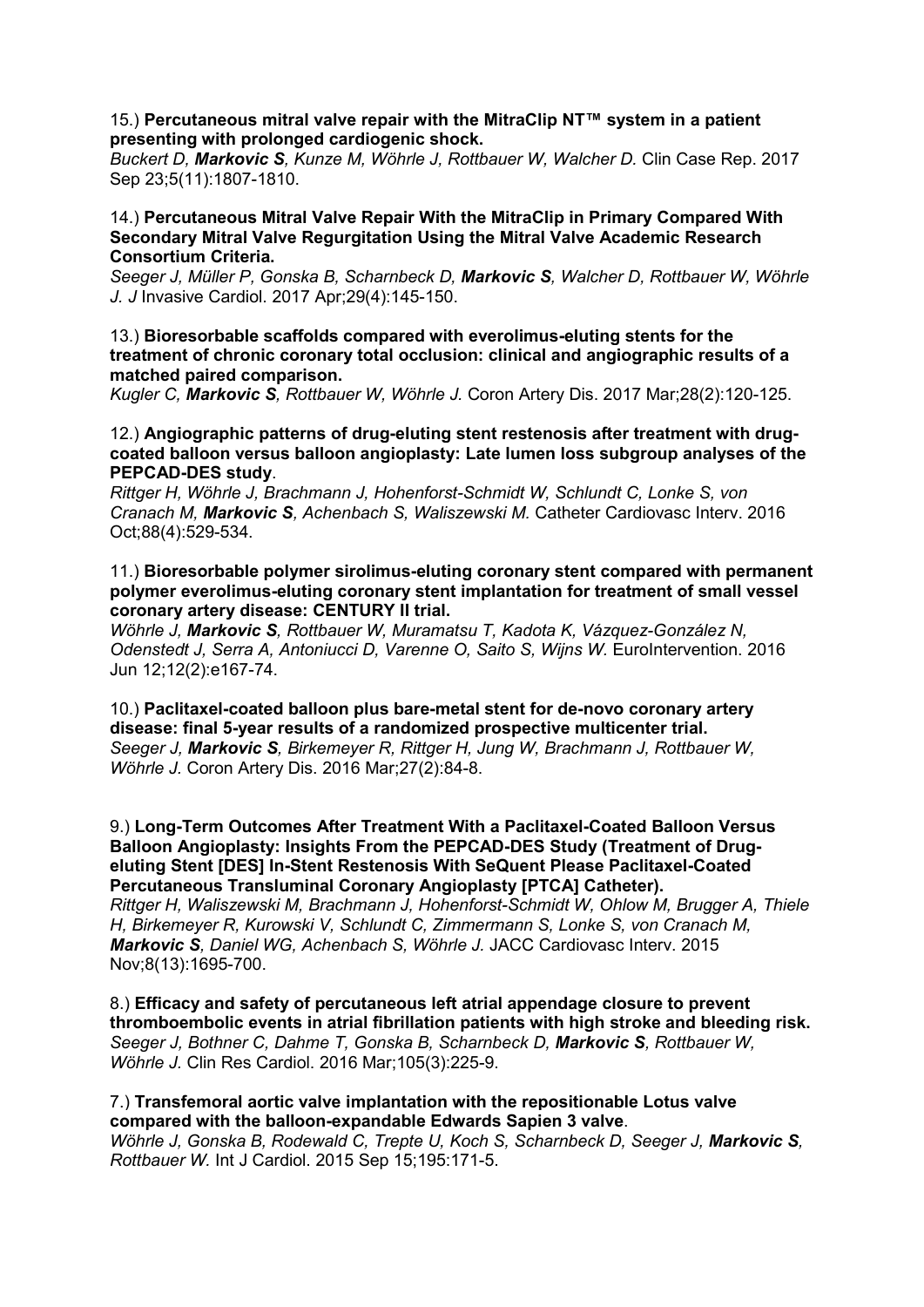#### 15.) **Percutaneous mitral valve repair with the MitraClip NT™ system in a patient presenting with prolonged cardiogenic shock.**

*Buckert D, Markovic S, Kunze M, Wöhrle J, Rottbauer W, Walcher D.* Clin Case Rep. 2017 Sep 23;5(11):1807-1810.

# 14.) **Percutaneous Mitral Valve Repair With the MitraClip in Primary Compared With Secondary Mitral Valve Regurgitation Using the Mitral Valve Academic Research Consortium Criteria.**

*Seeger J, Müller P, Gonska B, Scharnbeck D, Markovic S, Walcher D, Rottbauer W, Wöhrle J. J* Invasive Cardiol. 2017 Apr;29(4):145-150.

# 13.) **Bioresorbable scaffolds compared with everolimus-eluting stents for the treatment of chronic coronary total occlusion: clinical and angiographic results of a matched paired comparison.**

*Kugler C, Markovic S, Rottbauer W, Wöhrle J.* Coron Artery Dis. 2017 Mar;28(2):120-125.

# 12.) **Angiographic patterns of drug-eluting stent restenosis after treatment with drugcoated balloon versus balloon angioplasty: Late lumen loss subgroup analyses of the PEPCAD-DES study**.

*Rittger H, Wöhrle J, Brachmann J, Hohenforst-Schmidt W, Schlundt C, Lonke S, von Cranach M, Markovic S, Achenbach S, Waliszewski M.* Catheter Cardiovasc Interv. 2016 Oct;88(4):529-534.

11.) **Bioresorbable polymer sirolimus-eluting coronary stent compared with permanent polymer everolimus-eluting coronary stent implantation for treatment of small vessel coronary artery disease: CENTURY II trial.**

*Wöhrle J, Markovic S, Rottbauer W, Muramatsu T, Kadota K, Vázquez-González N, Odenstedt J, Serra A, Antoniucci D, Varenne O, Saito S, Wijns W.* EuroIntervention. 2016 Jun 12;12(2):e167-74.

10.) **Paclitaxel-coated balloon plus bare-metal stent for de-novo coronary artery disease: final 5-year results of a randomized prospective multicenter trial.** *Seeger J, Markovic S, Birkemeyer R, Rittger H, Jung W, Brachmann J, Rottbauer W, Wöhrle J.* Coron Artery Dis. 2016 Mar;27(2):84-8.

9.) **Long-Term Outcomes After Treatment With a Paclitaxel-Coated Balloon Versus Balloon Angioplasty: Insights From the PEPCAD-DES Study (Treatment of Drugeluting Stent [DES] In-Stent Restenosis With SeQuent Please Paclitaxel-Coated Percutaneous Transluminal Coronary Angioplasty [PTCA] Catheter).**

*Rittger H, Waliszewski M, Brachmann J, Hohenforst-Schmidt W, Ohlow M, Brugger A, Thiele H, Birkemeyer R, Kurowski V, Schlundt C, Zimmermann S, Lonke S, von Cranach M, Markovic S, Daniel WG, Achenbach S, Wöhrle J.* JACC Cardiovasc Interv. 2015 Nov;8(13):1695-700.

8.) **Efficacy and safety of percutaneous left atrial appendage closure to prevent thromboembolic events in atrial fibrillation patients with high stroke and bleeding risk.** *Seeger J, Bothner C, Dahme T, Gonska B, Scharnbeck D, Markovic S, Rottbauer W, Wöhrle J.* Clin Res Cardiol. 2016 Mar;105(3):225-9.

#### 7.) **Transfemoral aortic valve implantation with the repositionable Lotus valve compared with the balloon-expandable Edwards Sapien 3 valve**.

*Wöhrle J, Gonska B, Rodewald C, Trepte U, Koch S, Scharnbeck D, Seeger J, Markovic S, Rottbauer W.* Int J Cardiol. 2015 Sep 15;195:171-5.